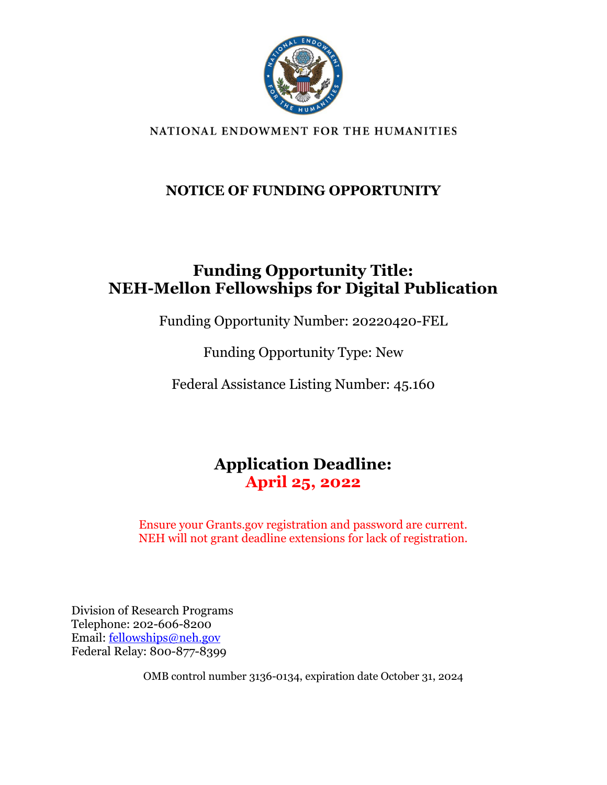

NATIONAL ENDOWMENT FOR THE HUMANITIES

## **NOTICE OF FUNDING OPPORTUNITY**

## **Funding Opportunity Title: NEH-Mellon Fellowships for Digital Publication**

Funding Opportunity Number: 20220420-FEL

Funding Opportunity Type: New

Federal Assistance Listing Number: 45.160

## **Application Deadline: April 25, 2022**

Ensure your Grants.gov registration and password are current. NEH will not grant deadline extensions for lack of registration.

Division of Research Programs Telephone: 202-606-8200 Email: [fellowships@neh.gov](mailto:fellowships@neh.gov) Federal Relay: 800-877-8399

OMB control number 3136-0134, expiration date October 31, 2024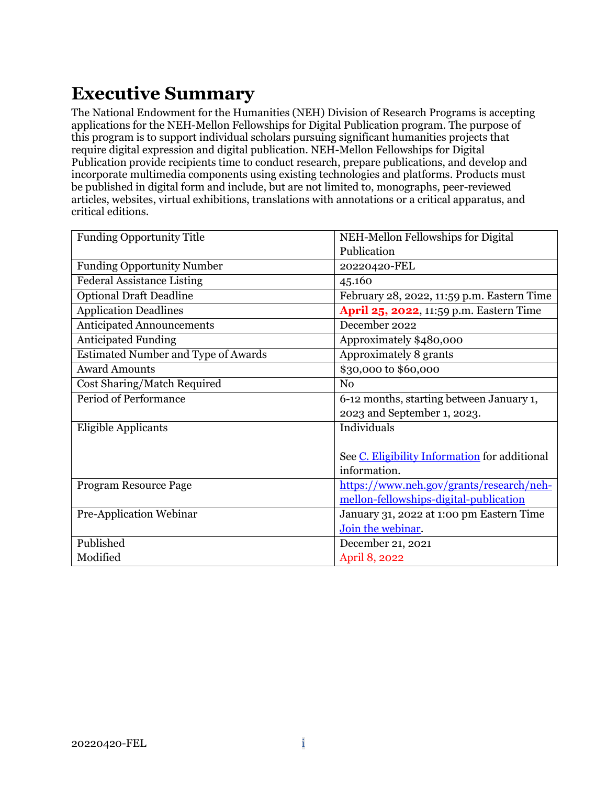# <span id="page-1-0"></span>**Executive Summary**

The National Endowment for the Humanities (NEH) Division of Research Programs is accepting applications for the NEH-Mellon Fellowships for Digital Publication program. The purpose of this program is to support individual scholars pursuing significant humanities projects that require digital expression and digital publication. NEH-Mellon Fellowships for Digital Publication provide recipients time to conduct research, prepare publications, and develop and incorporate multimedia components using existing technologies and platforms. Products must be published in digital form and include, but are not limited to, monographs, peer-reviewed articles, websites, virtual exhibitions, translations with annotations or a critical apparatus, and critical editions.

| <b>Funding Opportunity Title</b>           | NEH-Mellon Fellowships for Digital            |
|--------------------------------------------|-----------------------------------------------|
|                                            | Publication                                   |
| <b>Funding Opportunity Number</b>          | 20220420-FEL                                  |
| <b>Federal Assistance Listing</b>          | 45.160                                        |
| <b>Optional Draft Deadline</b>             | February 28, 2022, 11:59 p.m. Eastern Time    |
| <b>Application Deadlines</b>               | April 25, 2022, 11:59 p.m. Eastern Time       |
| <b>Anticipated Announcements</b>           | December 2022                                 |
| <b>Anticipated Funding</b>                 | Approximately \$480,000                       |
| <b>Estimated Number and Type of Awards</b> | Approximately 8 grants                        |
| <b>Award Amounts</b>                       | \$30,000 to \$60,000                          |
| Cost Sharing/Match Required                | N <sub>0</sub>                                |
| Period of Performance                      | 6-12 months, starting between January 1,      |
|                                            | 2023 and September 1, 2023.                   |
| Eligible Applicants                        | Individuals                                   |
|                                            |                                               |
|                                            | See C. Eligibility Information for additional |
|                                            | information.                                  |
| Program Resource Page                      | https://www.neh.gov/grants/research/neh-      |
|                                            | mellon-fellowships-digital-publication        |
| Pre-Application Webinar                    | January 31, 2022 at 1:00 pm Eastern Time      |
|                                            | Join the webinar.                             |
| Published                                  | December 21, 2021                             |
| Modified                                   | April 8, 2022                                 |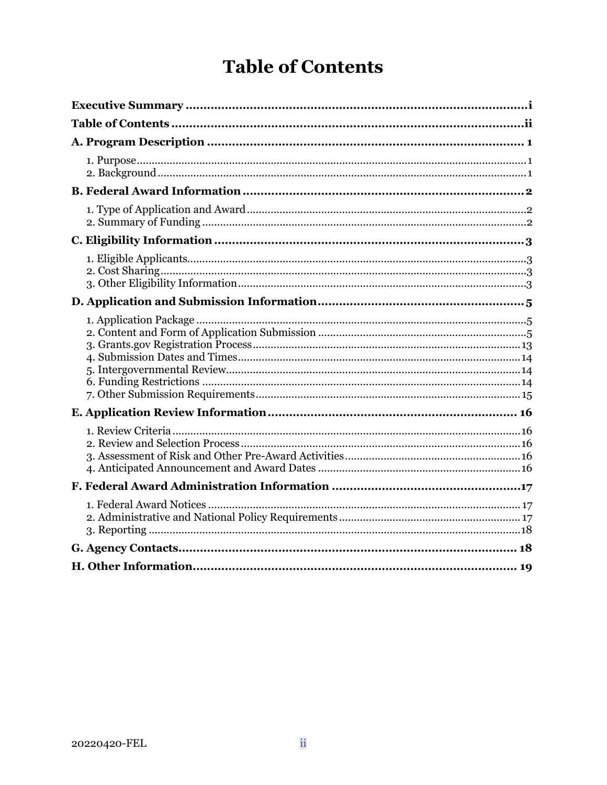# **Table of Contents**

<span id="page-2-0"></span>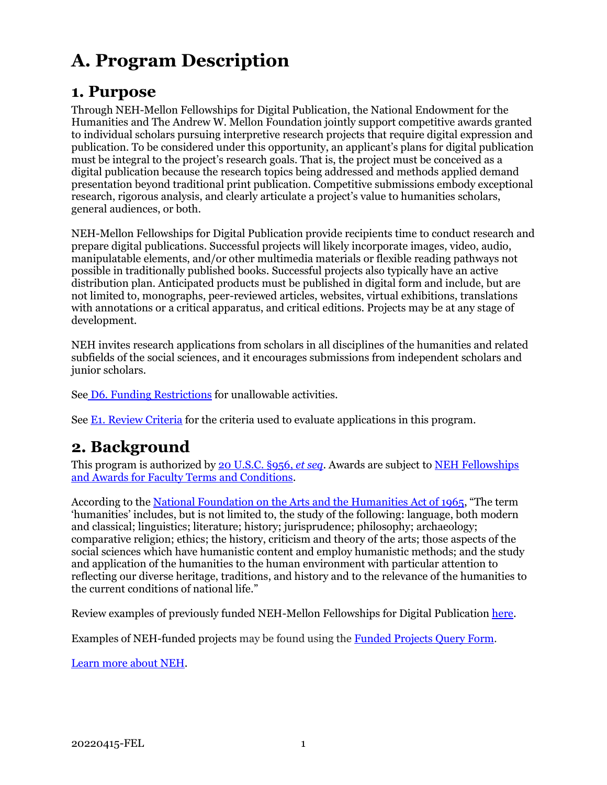# <span id="page-3-0"></span>**A. Program Description**

## <span id="page-3-1"></span>**1. Purpose**

Through NEH-Mellon Fellowships for Digital Publication, the National Endowment for the Humanities and The Andrew W. Mellon Foundation jointly support competitive awards granted to individual scholars pursuing interpretive research projects that require digital expression and publication. To be considered under this opportunity, an applicant's plans for digital publication must be integral to the project's research goals. That is, the project must be conceived as a digital publication because the research topics being addressed and methods applied demand presentation beyond traditional print publication. Competitive submissions embody exceptional research, rigorous analysis, and clearly articulate a project's value to humanities scholars, general audiences, or both.

NEH-Mellon Fellowships for Digital Publication provide recipients time to conduct research and prepare digital publications. Successful projects will likely incorporate images, video, audio, manipulatable elements, and/or other multimedia materials or flexible reading pathways not possible in traditionally published books. Successful projects also typically have an active distribution plan. Anticipated products must be published in digital form and include, but are not limited to, monographs, peer-reviewed articles, websites, virtual exhibitions, translations with annotations or a critical apparatus, and critical editions. Projects may be at any stage of development.

NEH invites research applications from scholars in all disciplines of the humanities and related subfields of the social sciences, and it encourages submissions from independent scholars and junior scholars.

See [D6. Funding Restrictions](#page-16-2) for unallowable activities.

<span id="page-3-2"></span>See [E1. Review Criteria](#page-18-1) for the criteria used to evaluate applications in this program.

## **2. Background**

This program is authorized by [20 U.S.C. §956,](https://uscode.house.gov/view.xhtml?hl=false&edition=prelim&req=granuleid%3AUSC-prelim-title20-section956&num=0&saved=%7CKHRpdGxlOjIwIHNlY3Rpb246OTU2YSBlZGl0aW9uOnByZWxpbSk%3D%7C%7C%7C0%7Cfalse%7Cprelim) *et seq*. Awards are subject to [NEH Fellowships](https://www.neh.gov/grants/manage/neh-fellowships-terms-and-conditions)  [and Awards for Faculty Terms and Conditions.](https://www.neh.gov/grants/manage/neh-fellowships-terms-and-conditions)

According to th[e National Foundation on the Arts and the Humanities Act of 1965,](https://www.neh.gov/about/history/national-foundation-arts-and-humanities-act-1965-pl-89-209) "The term 'humanities' includes, but is not limited to, the study of the following: language, both modern and classical; linguistics; literature; history; jurisprudence; philosophy; archaeology; comparative religion; ethics; the history, criticism and theory of the arts; those aspects of the social sciences which have humanistic content and employ humanistic methods; and the study and application of the humanities to the human environment with particular attention to reflecting our diverse heritage, traditions, and history and to the relevance of the humanities to the current conditions of national life."

Review examples of previously funded NEH-Mellon Fellowships for Digital Publication [here.](https://www.neh.gov/sites/default/files/inline-files/NEH-Mellon%20Awards%20w%20Links.pdf)

Examples of NEH-funded projects may be found using the [Funded Projects](https://securegrants.neh.gov/publicquery/main.aspx) Query Form.

[Learn more about NEH.](https://www.neh.gov/about)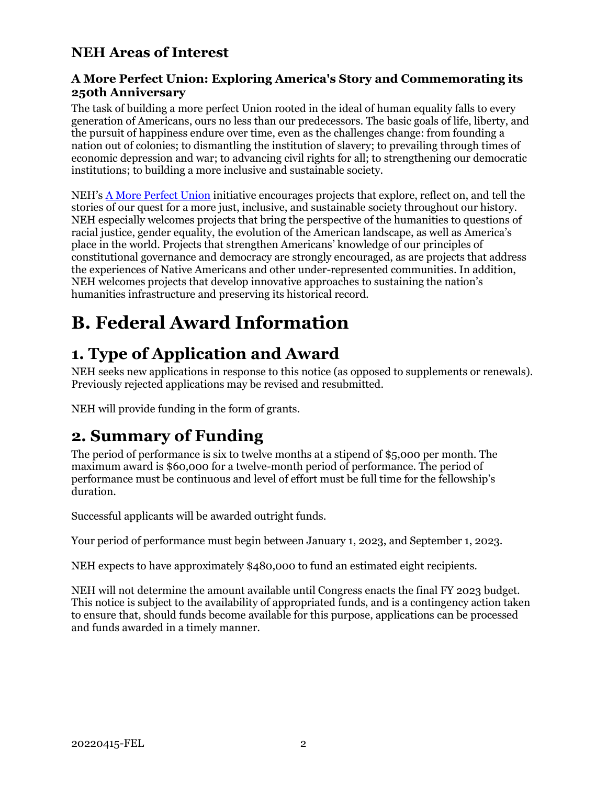### **NEH Areas of Interest**

#### **A More Perfect Union: Exploring America's Story and Commemorating its 250th Anniversary**

The task of building a more perfect Union rooted in the ideal of human equality falls to every generation of Americans, ours no less than our predecessors. The basic goals of life, liberty, and the pursuit of happiness endure over time, even as the challenges change: from founding a nation out of colonies; to dismantling the institution of slavery; to prevailing through times of economic depression and war; to advancing civil rights for all; to strengthening our democratic institutions; to building a more inclusive and sustainable society.

NEH's [A More Perfect Union](https://www.neh.gov/250) initiative encourages projects that explore, reflect on, and tell the stories of our quest for a more just, inclusive, and sustainable society throughout our history. NEH especially welcomes projects that bring the perspective of the humanities to questions of racial justice, gender equality, the evolution of the American landscape, as well as America's place in the world. Projects that strengthen Americans' knowledge of our principles of constitutional governance and democracy are strongly encouraged, as are projects that address the experiences of Native Americans and other under-represented communities. In addition, NEH welcomes projects that develop innovative approaches to sustaining the nation's humanities infrastructure and preserving its historical record.

# <span id="page-4-0"></span>**B. Federal Award Information**

## <span id="page-4-1"></span>**1. Type of Application and Award**

NEH seeks new applications in response to this notice (as opposed to supplements or renewals). Previously rejected applications may be revised and resubmitted.

NEH will provide funding in the form of grants.

## **2. Summary of Funding**

<span id="page-4-2"></span>The period of performance is six to twelve months at a stipend of \$5,000 per month. The maximum award is \$60,000 for a twelve-month period of performance. The period of performance must be continuous and level of effort must be full time for the fellowship's duration.

Successful applicants will be awarded outright funds.

Your period of performance must begin between January 1, 2023, and September 1, 2023.

NEH expects to have approximately \$480,000 to fund an estimated eight recipients.

NEH will not determine the amount available until Congress enacts the final FY 2023 budget. This notice is subject to the availability of appropriated funds, and is a contingency action taken to ensure that, should funds become available for this purpose, applications can be processed and funds awarded in a timely manner.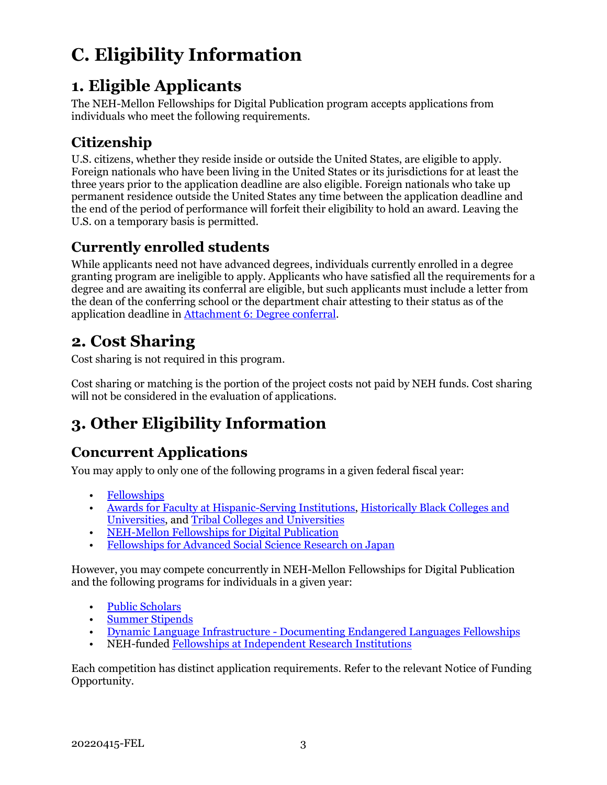# <span id="page-5-0"></span>**C. Eligibility Information**

## <span id="page-5-1"></span>**1. Eligible Applicants**

The NEH-Mellon Fellowships for Digital Publication program accepts applications from individuals who meet the following requirements.

## **Citizenship**

U.S. citizens, whether they reside inside or outside the United States, are eligible to apply. Foreign nationals who have been living in the United States or its jurisdictions for at least the three years prior to the application deadline are also eligible. Foreign nationals who take up permanent residence outside the United States any time between the application deadline and the end of the period of performance will forfeit their eligibility to hold an award. Leaving the U.S. on a temporary basis is permitted.

### **Currently enrolled students**

While applicants need not have advanced degrees, individuals currently enrolled in a degree granting program are ineligible to apply. Applicants who have satisfied all the requirements for a degree and are awaiting its conferral are eligible, but such applicants must include a letter from the dean of the conferring school or the department chair attesting to their status as of the application deadline in [Attachment 6: Degree conferral.](#page-14-0)

## <span id="page-5-2"></span>**2. Cost Sharing**

Cost sharing is not required in this program.

Cost sharing or matching is the portion of the project costs not paid by NEH funds. Cost sharing will not be considered in the evaluation of applications.

## <span id="page-5-3"></span>**3. Other Eligibility Information**

### **Concurrent Applications**

You may apply to only one of the following programs in a given federal fiscal year:

- [Fellowships](https://www.neh.gov/grants/research/fellowships)
- [Awards for Faculty at Hispanic-Serving Institutions,](https://www.neh.gov/grants/research/awards-faculty-hispanic-serving-institutions) [Historically Black Colleges and](https://www.neh.gov/grants/research/awards-faculty-historically-black-colleges-and-universities)  [Universities,](https://www.neh.gov/grants/research/awards-faculty-historically-black-colleges-and-universities) and [Tribal Colleges and Universities](https://www.neh.gov/grants/research/awards-faculty-tribal-colleges-and-universities)
- [NEH-Mellon Fellowships for Digital Publication](https://www.neh.gov/grants/research/neh-mellon-fellowships-digital-publication)
- [Fellowships for Advanced Social Science Research on Japan](https://www.neh.gov/grants/research/fellowships-advanced-social-science-research-japan)

However, you may compete concurrently in NEH-Mellon Fellowships for Digital Publication and the following programs for individuals in a given year:

- [Public Scholars](https://www.neh.gov/grants/research/public-scholar-program)
- [Summer Stipends](https://www.neh.gov/grants/research/summer-stipends)
- [Dynamic Language Infrastructure Documenting Endangered Languages Fellowships](https://www.neh.gov/program/dli-del-fellowships)
- NEH-funde[d Fellowships at Independent Research Institutions](https://www.neh.gov/grants/research/fellowship-programs-independent-research-institutions)

Each competition has distinct application requirements. Refer to the relevant Notice of Funding Opportunity.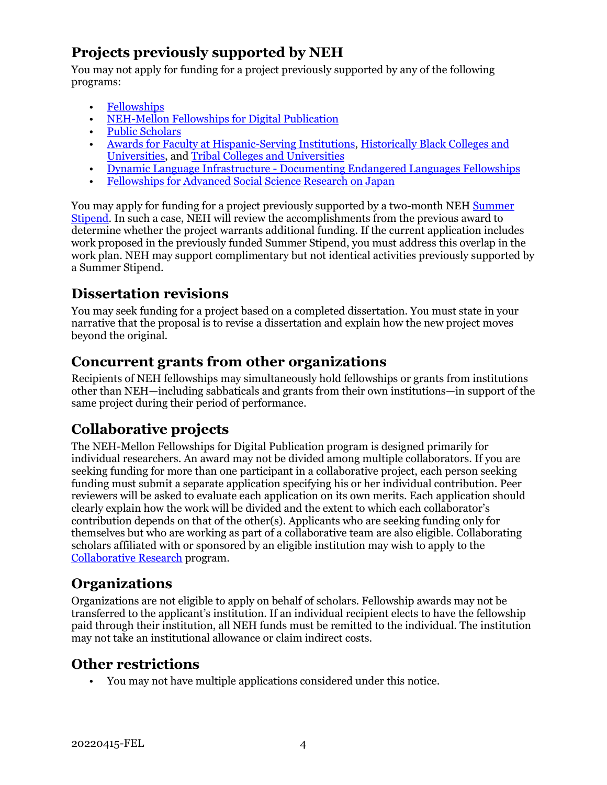## **Projects previously supported by NEH**

You may not apply for funding for a project previously supported by any of the following programs:

- [Fellowships](https://www.neh.gov/grants/research/fellowships)
- [NEH-Mellon Fellowships for Digital Publication](https://www.neh.gov/grants/research/neh-mellon-fellowships-digital-publication)
- [Public Scholars](https://www.neh.gov/grants/research/public-scholar-program)
- [Awards for Faculty at Hispanic-Serving Institutions,](https://www.neh.gov/grants/research/awards-faculty-hispanic-serving-institutions) [Historically Black Colleges and](https://www.neh.gov/grants/research/awards-faculty-historically-black-colleges-and-universities)  [Universities,](https://www.neh.gov/grants/research/awards-faculty-historically-black-colleges-and-universities) and [Tribal Colleges and Universities](https://www.neh.gov/grants/research/awards-faculty-tribal-colleges-and-universities)
- [Dynamic Language Infrastructure Documenting Endangered Languages Fellowships](https://www.neh.gov/program/dli-del-fellowships)
- [Fellowships for Advanced Social Science Research on Japan](https://www.neh.gov/grants/research/fellowships-advanced-social-science-research-japan)

You may apply for funding for a project previously supported by a two-month NEH [Summer](https://www.neh.gov/grants/research/summer-stipends)  [Stipend.](https://www.neh.gov/grants/research/summer-stipends) In such a case, NEH will review the accomplishments from the previous award to determine whether the project warrants additional funding. If the current application includes work proposed in the previously funded Summer Stipend, you must address this overlap in the work plan. NEH may support complimentary but not identical activities previously supported by a Summer Stipend.

### **Dissertation revisions**

You may seek funding for a project based on a completed dissertation. You must state in your narrative that the proposal is to revise a dissertation and explain how the new project moves beyond the original.

### **Concurrent grants from other organizations**

Recipients of NEH fellowships may simultaneously hold fellowships or grants from institutions other than NEH—including sabbaticals and grants from their own institutions—in support of the same project during their period of performance.

### **Collaborative projects**

The NEH-Mellon Fellowships for Digital Publication program is designed primarily for individual researchers. An award may not be divided among multiple collaborators. If you are seeking funding for more than one participant in a collaborative project, each person seeking funding must submit a separate application specifying his or her individual contribution. Peer reviewers will be asked to evaluate each application on its own merits. Each application should clearly explain how the work will be divided and the extent to which each collaborator's contribution depends on that of the other(s). Applicants who are seeking funding only for themselves but who are working as part of a collaborative team are also eligible. Collaborating scholars affiliated with or sponsored by an eligible institution may wish to apply to the [Collaborative Research](https://www.neh.gov/grants/research/collaborative-research-grants) program.

### **Organizations**

Organizations are not eligible to apply on behalf of scholars. Fellowship awards may not be transferred to the applicant's institution. If an individual recipient elects to have the fellowship paid through their institution, all NEH funds must be remitted to the individual. The institution may not take an institutional allowance or claim indirect costs.

### **Other restrictions**

• You may not have multiple applications considered under this notice.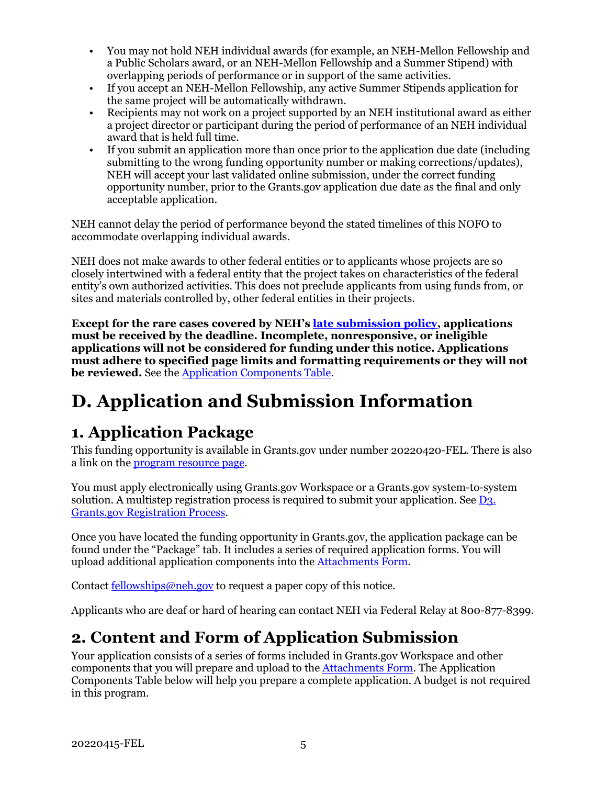- You may not hold NEH individual awards (for example, an NEH-Mellon Fellowship and a Public Scholars award, or an NEH-Mellon Fellowship and a Summer Stipend) with overlapping periods of performance or in support of the same activities.
- If you accept an NEH-Mellon Fellowship, any active Summer Stipends application for the same project will be automatically withdrawn.
- Recipients may not work on a project supported by an NEH institutional award as either a project director or participant during the period of performance of an NEH individual award that is held full time.
- If you submit an application more than once prior to the application due date (including submitting to the wrong funding opportunity number or making corrections/updates), NEH will accept your last validated online submission, under the correct funding opportunity number, prior to the Grants.gov application due date as the final and only acceptable application.

NEH cannot delay the period of performance beyond the stated timelines of this NOFO to accommodate overlapping individual awards.

NEH does not make awards to other federal entities or to applicants whose projects are so closely intertwined with a federal entity that the project takes on characteristics of the federal entity's own authorized activities. This does not preclude applicants from using funds from, or sites and materials controlled by, other federal entities in their projects.

**Except for the rare cases covered by NEH's [late submission policy,](https://www.neh.gov/grants/policy-on-late-submissions) applications must be received by the deadline. Incomplete, nonresponsive, or ineligible applications will not be considered for funding under this notice. Applications must adhere to specified page limits and formatting requirements or they will not be reviewed.** See th[e Application Components Table.](#page-7-2)

# <span id="page-7-0"></span>**D. Application and Submission Information**

## <span id="page-7-1"></span>**1. Application Package**

This funding opportunity is available in Grants.gov under number 20220420-FEL. There is also a link on the [program resource page.](https://www.neh.gov/grants/research/neh-mellon-fellowships-digital-publication)

You must apply electronically using Grants.gov Workspace or a Grants.gov system-to-system solution. A multistep registration process is required to submit your application. See [D3.](#page-15-0)  [Grants.gov Registration Process.](#page-15-0)

Once you have located the funding opportunity in Grants.gov, the application package can be found under the "Package" tab. It includes a series of required application forms. You will upload additional application components into the [Attachments Form.](#page-11-0)

Contact [fellowships@neh.gov](mailto:fellowships@neh.gov) to request a paper copy of this notice.

Applicants who are deaf or hard of hearing can contact NEH via Federal Relay at 800-877-8399.

## <span id="page-7-2"></span>**2. Content and Form of Application Submission**

Your application consists of a series of forms included in Grants.gov Workspace and other components that you will prepare and upload to the [Attachments Form.](#page-11-0) The Application Components Table below will help you prepare a complete application. A budget is not required in this program.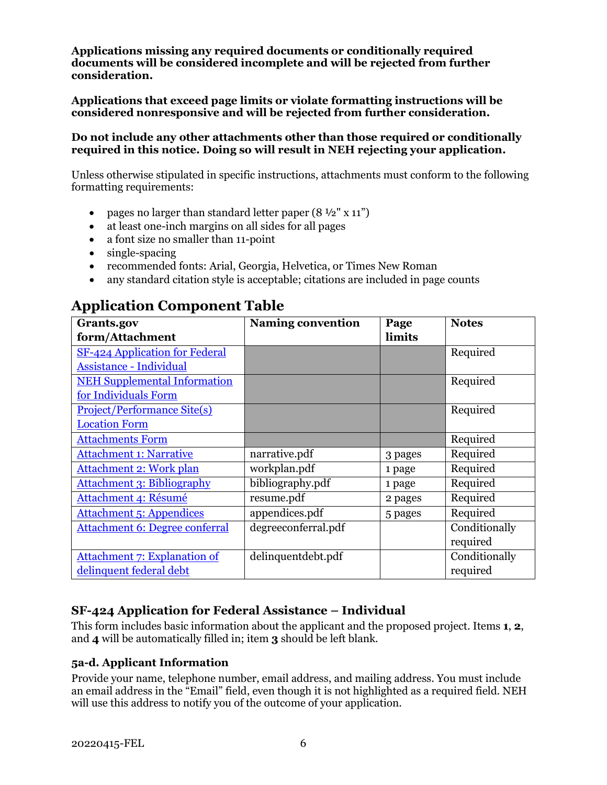**Applications missing any required documents or conditionally required documents will be considered incomplete and will be rejected from further consideration.**

**Applications that exceed page limits or violate formatting instructions will be considered nonresponsive and will be rejected from further consideration.**

#### **Do not include any other attachments other than those required or conditionally required in this notice. Doing so will result in NEH rejecting your application.**

Unless otherwise stipulated in specific instructions, attachments must conform to the following formatting requirements:

- pages no larger than standard letter paper  $(8 \frac{1}{2} x 11^{\circ})$
- at least one-inch margins on all sides for all pages
- a font size no smaller than 11-point
- single-spacing
- recommended fonts: Arial, Georgia, Helvetica, or Times New Roman
- any standard citation style is acceptable; citations are included in page counts

| Grants.gov                            | <b>Naming convention</b> | Page    | <b>Notes</b>  |
|---------------------------------------|--------------------------|---------|---------------|
| form/Attachment                       |                          | limits  |               |
| SF-424 Application for Federal        |                          |         | Required      |
| <b>Assistance - Individual</b>        |                          |         |               |
| <b>NEH Supplemental Information</b>   |                          |         | Required      |
| for Individuals Form                  |                          |         |               |
| <b>Project/Performance Site(s)</b>    |                          |         | Required      |
| <b>Location Form</b>                  |                          |         |               |
| <b>Attachments Form</b>               |                          |         | Required      |
| <b>Attachment 1: Narrative</b>        | narrative.pdf            | 3 pages | Required      |
| <b>Attachment 2: Work plan</b>        | workplan.pdf             | 1 page  | Required      |
| <b>Attachment 3: Bibliography</b>     | bibliography.pdf         | 1 page  | Required      |
| Attachment 4: Résumé                  | resume.pdf               | 2 pages | Required      |
| <b>Attachment 5: Appendices</b>       | appendices.pdf           | 5 pages | Required      |
| <b>Attachment 6: Degree conferral</b> | degreeconferral.pdf      |         | Conditionally |
|                                       |                          |         | required      |
| <b>Attachment 7: Explanation of</b>   | delinquentdebt.pdf       |         | Conditionally |
| delinquent federal debt               |                          |         | required      |

## **Application Component Table**

#### **SF-424 Application for Federal Assistance – Individual**

<span id="page-8-0"></span>This form includes basic information about the applicant and the proposed project. Items **1**, **2**, and **4** will be automatically filled in; item **3** should be left blank.

#### **5a-d. Applicant Information**

Provide your name, telephone number, email address, and mailing address. You must include an email address in the "Email" field, even though it is not highlighted as a required field. NEH will use this address to notify you of the outcome of your application.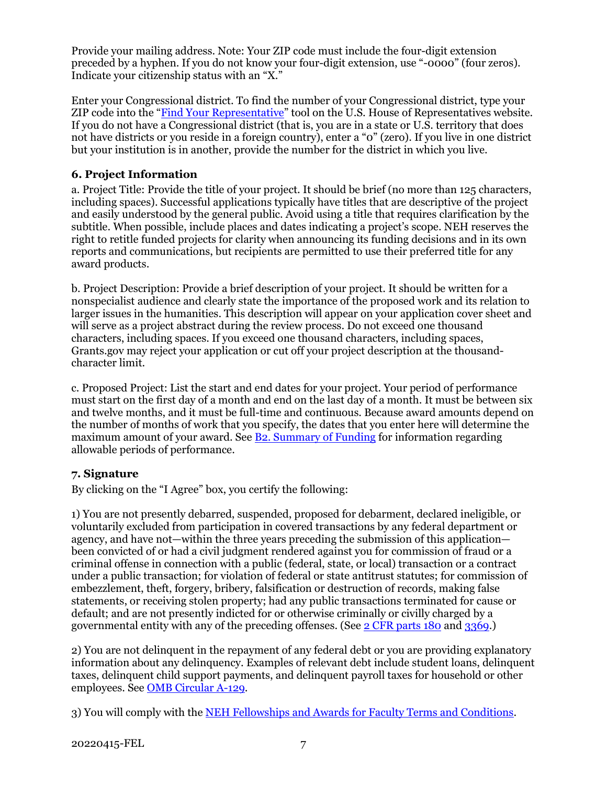Provide your mailing address. Note: Your ZIP code must include the four-digit extension preceded by a hyphen. If you do not know your four-digit extension, use "-0000" (four zeros). Indicate your citizenship status with an "X."

Enter your Congressional district. To find the number of your Congressional district, type your ZIP code into the ["Find Your Representative"](https://www.house.gov/representatives/find-your-representative) tool on the U.S. House of Representatives website. If you do not have a Congressional district (that is, you are in a state or U.S. territory that does not have districts or you reside in a foreign country), enter a "0" (zero). If you live in one district but your institution is in another, provide the number for the district in which you live.

#### **6. Project Information**

a. Project Title: Provide the title of your project. It should be brief (no more than 125 characters, including spaces). Successful applications typically have titles that are descriptive of the project and easily understood by the general public. Avoid using a title that requires clarification by the subtitle. When possible, include places and dates indicating a project's scope. NEH reserves the right to retitle funded projects for clarity when announcing its funding decisions and in its own reports and communications, but recipients are permitted to use their preferred title for any award products.

b. Project Description: Provide a brief description of your project. It should be written for a nonspecialist audience and clearly state the importance of the proposed work and its relation to larger issues in the humanities. This description will appear on your application cover sheet and will serve as a project abstract during the review process. Do not exceed one thousand characters, including spaces. If you exceed one thousand characters, including spaces, Grants.gov may reject your application or cut off your project description at the thousandcharacter limit.

c. Proposed Project: List the start and end dates for your project. Your period of performance must start on the first day of a month and end on the last day of a month. It must be between six and twelve months, and it must be full-time and continuous. Because award amounts depend on the number of months of work that you specify, the dates that you enter here will determine the maximum amount of your award. See [B2. Summary of Funding](#page-4-2) for information regarding allowable periods of performance.

#### **7. Signature**

By clicking on the "I Agree" box, you certify the following:

1) You are not presently debarred, suspended, proposed for debarment, declared ineligible, or voluntarily excluded from participation in covered transactions by any federal department or agency, and have not—within the three years preceding the submission of this application been convicted of or had a civil judgment rendered against you for commission of fraud or a criminal offense in connection with a public (federal, state, or local) transaction or a contract under a public transaction; for violation of federal or state antitrust statutes; for commission of embezzlement, theft, forgery, bribery, falsification or destruction of records, making false statements, or receiving stolen property; had any public transactions terminated for cause or default; and are not presently indicted for or otherwise criminally or civilly charged by a governmental entity with any of the preceding offenses. (See [2 CFR parts 180](https://www.ecfr.gov/current/title-2/subtitle-A/chapter-I/part-180/subpart-C) and [3369.](https://www.ecfr.gov/current/title-2/subtitle-B/chapter-XXXIII/part-3369))

2) You are not delinquent in the repayment of any federal debt or you are providing explanatory information about any delinquency. Examples of relevant debt include student loans, delinquent taxes, delinquent child support payments, and delinquent payroll taxes for household or other employees. See [OMB Circular A-129.](https://www.whitehouse.gov/sites/whitehouse.gov/files/omb/circulars/A129/a-129.pdf)

3) You will comply with the [NEH Fellowships and Awards for Faculty Terms and Conditions.](https://www.neh.gov/grants/manage/neh-fellowships-terms-and-conditions)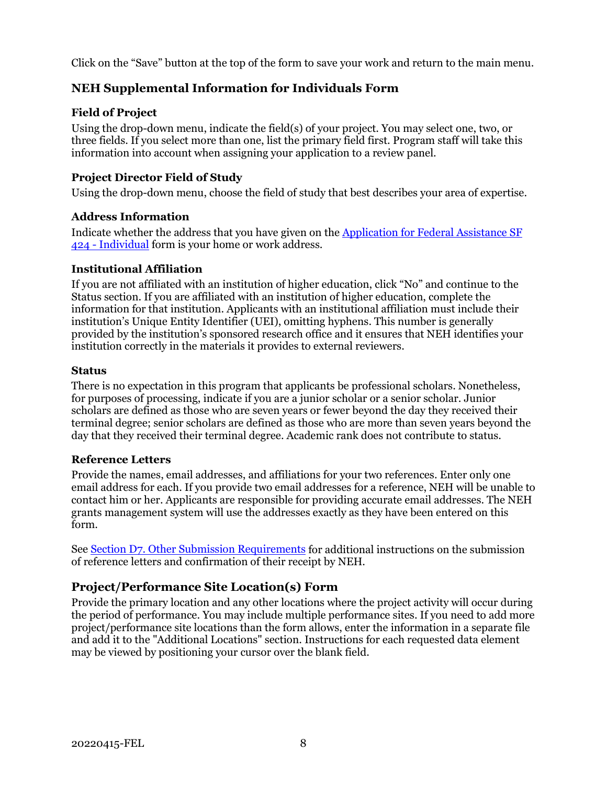Click on the "Save" button at the top of the form to save your work and return to the main menu.

#### <span id="page-10-0"></span>**NEH Supplemental Information for Individuals Form**

#### **Field of Project**

Using the drop-down menu, indicate the field(s) of your project. You may select one, two, or three fields. If you select more than one, list the primary field first. Program staff will take this information into account when assigning your application to a review panel.

#### **Project Director Field of Study**

Using the drop-down menu, choose the field of study that best describes your area of expertise.

#### **Address Information**

Indicate whether the address that you have given on the [Application for Federal Assistance](#page-8-0) SF [424 - Individual](#page-8-0) form is your home or work address.

#### **Institutional Affiliation**

If you are not affiliated with an institution of higher education, click "No" and continue to the Status section. If you are affiliated with an institution of higher education, complete the information for that institution. Applicants with an institutional affiliation must include their institution's Unique Entity Identifier (UEI), omitting hyphens. This number is generally provided by the institution's sponsored research office and it ensures that NEH identifies your institution correctly in the materials it provides to external reviewers.

#### **Status**

There is no expectation in this program that applicants be professional scholars. Nonetheless, for purposes of processing, indicate if you are a junior scholar or a senior scholar. Junior scholars are defined as those who are seven years or fewer beyond the day they received their terminal degree; senior scholars are defined as those who are more than seven years beyond the day that they received their terminal degree. Academic rank does not contribute to status.

#### **Reference Letters**

Provide the names, email addresses, and affiliations for your two references. Enter only one email address for each. If you provide two email addresses for a reference, NEH will be unable to contact him or her. Applicants are responsible for providing accurate email addresses. The NEH grants management system will use the addresses exactly as they have been entered on this form.

See [Section D7. Other Submission Requirements](#page-17-0) for additional instructions on the submission of reference letters and confirmation of their receipt by NEH.

#### **Project/Performance Site Location(s) Form**

<span id="page-10-1"></span>Provide the primary location and any other locations where the project activity will occur during the period of performance. You may include multiple performance sites. If you need to add more project/performance site locations than the form allows, enter the information in a separate file and add it to the "Additional Locations" section. Instructions for each requested data element may be viewed by positioning your cursor over the blank field.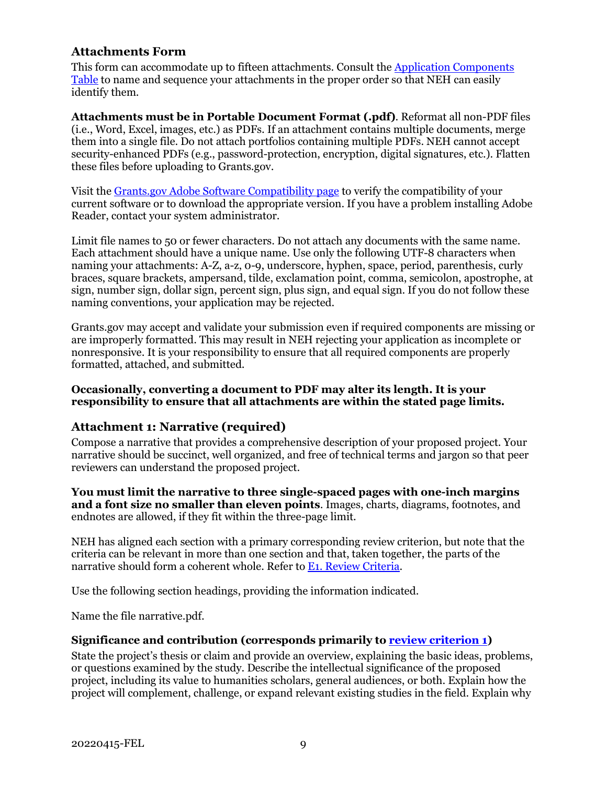#### **Attachments Form**

<span id="page-11-0"></span>This form can accommodate up to fifteen attachments. Consult the [Application Components](#page-8-0)  [Table](#page-8-0) to name and sequence your attachments in the proper order so that NEH can easily identify them.

**Attachments must be in Portable Document Format (.pdf)**. Reformat all non-PDF files (i.e., Word, Excel, images, etc.) as PDFs. If an attachment contains multiple documents, merge them into a single file. Do not attach portfolios containing multiple PDFs. NEH cannot accept security-enhanced PDFs (e.g., password-protection, encryption, digital signatures, etc.). Flatten these files before uploading to Grants.gov.

Visit the Grants.gov [Adobe Software Compatibility page](https://www.grants.gov/web/grants/applicants/adobe-software-compatibility.html) to verify the compatibility of your current software or to download the appropriate version. If you have a problem installing Adobe Reader, contact your system administrator.

Limit file names to 50 or fewer characters. Do not attach any documents with the same name. Each attachment should have a unique name. Use only the following UTF-8 characters when naming your attachments: A-Z, a-z, 0-9, underscore, hyphen, space, period, parenthesis, curly braces, square brackets, ampersand, tilde, exclamation point, comma, semicolon, apostrophe, at sign, number sign, dollar sign, percent sign, plus sign, and equal sign. If you do not follow these naming conventions, your application may be rejected.

Grants.gov may accept and validate your submission even if required components are missing or are improperly formatted. This may result in NEH rejecting your application as incomplete or nonresponsive. It is your responsibility to ensure that all required components are properly formatted, attached, and submitted.

#### **Occasionally, converting a document to PDF may alter its length. It is your responsibility to ensure that all attachments are within the stated page limits.**

#### <span id="page-11-1"></span>**Attachment 1: Narrative (required)**

Compose a narrative that provides a comprehensive description of your proposed project. Your narrative should be succinct, well organized, and free of technical terms and jargon so that peer reviewers can understand the proposed project.

**You must limit the narrative to three single-spaced pages with one-inch margins and a font size no smaller than eleven points**. Images, charts, diagrams, footnotes, and endnotes are allowed, if they fit within the three-page limit.

NEH has aligned each section with a primary corresponding review criterion, but note that the criteria can be relevant in more than one section and that, taken together, the parts of the narrative should form a coherent whole. Refer to [E1. Review Criteria.](#page-18-1)

Use the following section headings, providing the information indicated.

Name the file narrative.pdf.

#### <span id="page-11-2"></span>**Significance and contribution (corresponds primarily to [review criterion 1\)](#page-18-1)**

State the project's thesis or claim and provide an overview, explaining the basic ideas, problems, or questions examined by the study. Describe the intellectual significance of the proposed project, including its value to humanities scholars, general audiences, or both. Explain how the project will complement, challenge, or expand relevant existing studies in the field. Explain why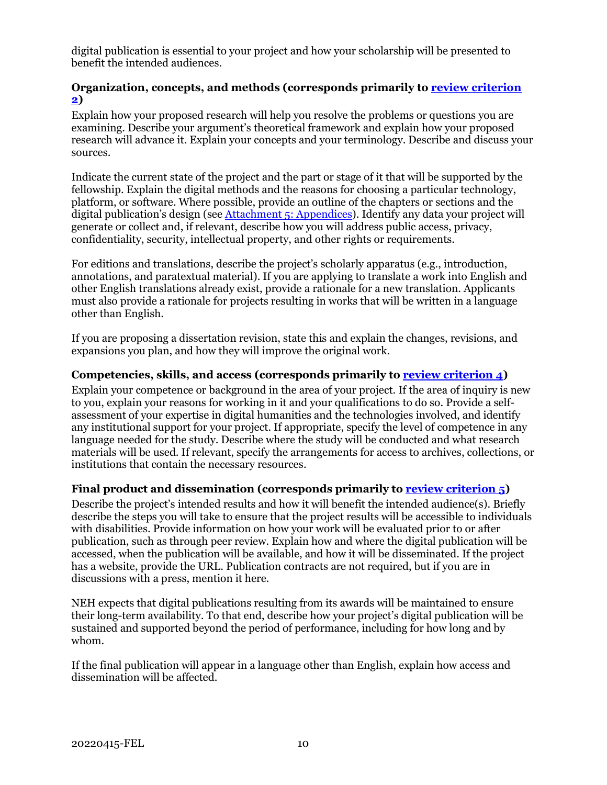digital publication is essential to your project and how your scholarship will be presented to benefit the intended audiences.

#### **Organization, concepts, and methods (corresponds primarily to [review criterion](#page-18-1)  [2\)](#page-18-1)**

Explain how your proposed research will help you resolve the problems or questions you are examining. Describe your argument's theoretical framework and explain how your proposed research will advance it. Explain your concepts and your terminology. Describe and discuss your sources.

Indicate the current state of the project and the part or stage of it that will be supported by the fellowship. Explain the digital methods and the reasons for choosing a particular technology, platform, or software. Where possible, provide an outline of the chapters or sections and the digital publication's design (see [Attachment 5: Appendices\)](#page-14-2). Identify any data your project will generate or collect and, if relevant, describe how you will address public access, privacy, confidentiality, security, intellectual property, and other rights or requirements.

For editions and translations, describe the project's scholarly apparatus (e.g., introduction, annotations, and paratextual material). If you are applying to translate a work into English and other English translations already exist, provide a rationale for a new translation. Applicants must also provide a rationale for projects resulting in works that will be written in a language other than English.

If you are proposing a dissertation revision, state this and explain the changes, revisions, and expansions you plan, and how they will improve the original work.

#### **Competencies, skills, and access (corresponds primarily to [review criterion 4\)](#page-18-1)**

Explain your competence or background in the area of your project. If the area of inquiry is new to you, explain your reasons for working in it and your qualifications to do so. Provide a selfassessment of your expertise in digital humanities and the technologies involved, and identify any institutional support for your project. If appropriate, specify the level of competence in any language needed for the study. Describe where the study will be conducted and what research materials will be used. If relevant, specify the arrangements for access to archives, collections, or institutions that contain the necessary resources.

#### <span id="page-12-0"></span>**Final product and dissemination (corresponds primarily to [review criterion 5\)](#page-18-1)**

Describe the project's intended results and how it will benefit the intended audience(s). Briefly describe the steps you will take to ensure that the project results will be accessible to individuals with disabilities. Provide information on how your work will be evaluated prior to or after publication, such as through peer review. Explain how and where the digital publication will be accessed, when the publication will be available, and how it will be disseminated. If the project has a website, provide the URL. Publication contracts are not required, but if you are in discussions with a press, mention it here.

NEH expects that digital publications resulting from its awards will be maintained to ensure their long-term availability. To that end, describe how your project's digital publication will be sustained and supported beyond the period of performance, including for how long and by whom.

If the final publication will appear in a language other than English, explain how access and dissemination will be affected.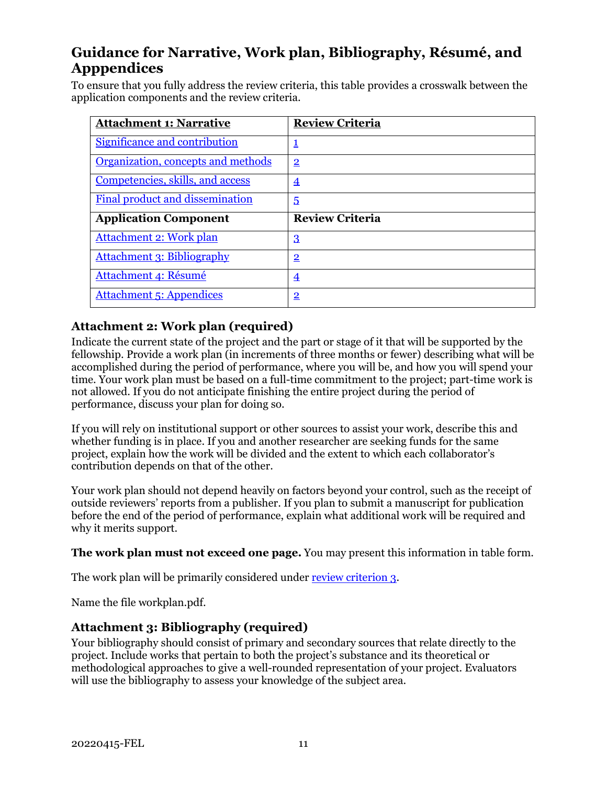### <span id="page-13-0"></span>**Guidance for Narrative, Work plan, Bibliography, Résumé, and Apppendices**

To ensure that you fully address the review criteria, this table provides a crosswalk between the application components and the review criteria.

| <b>Attachment 1: Narrative</b>     | <b>Review Criteria</b> |
|------------------------------------|------------------------|
| Significance and contribution      | <u>1</u>               |
| Organization, concepts and methods | $\overline{2}$         |
| Competencies, skills, and access   | $\overline{4}$         |
| Final product and dissemination    | $\overline{5}$         |
|                                    |                        |
| <b>Application Component</b>       | <b>Review Criteria</b> |
| Attachment 2: Work plan            | $\overline{3}$         |
| <b>Attachment 3: Bibliography</b>  | $\overline{2}$         |
| Attachment 4: Résumé               | $\overline{4}$         |

#### **Attachment 2: Work plan (required)**

Indicate the current state of the project and the part or stage of it that will be supported by the fellowship. Provide a work plan (in increments of three months or fewer) describing what will be accomplished during the period of performance, where you will be, and how you will spend your time. Your work plan must be based on a full-time commitment to the project; part-time work is not allowed. If you do not anticipate finishing the entire project during the period of performance, discuss your plan for doing so.

If you will rely on institutional support or other sources to assist your work, describe this and whether funding is in place. If you and another researcher are seeking funds for the same project, explain how the work will be divided and the extent to which each collaborator's contribution depends on that of the other.

Your work plan should not depend heavily on factors beyond your control, such as the receipt of outside reviewers' reports from a publisher. If you plan to submit a manuscript for publication before the end of the period of performance, explain what additional work will be required and why it merits support.

**The work plan must not exceed one page.** You may present this information in table form.

The work plan will be primarily considered under [review criterion 3.](#page-18-1)

Name the file workplan.pdf.

#### <span id="page-13-1"></span>**Attachment 3: Bibliography (required)**

Your bibliography should consist of primary and secondary sources that relate directly to the project. Include works that pertain to both the project's substance and its theoretical or methodological approaches to give a well-rounded representation of your project. Evaluators will use the bibliography to assess your knowledge of the subject area.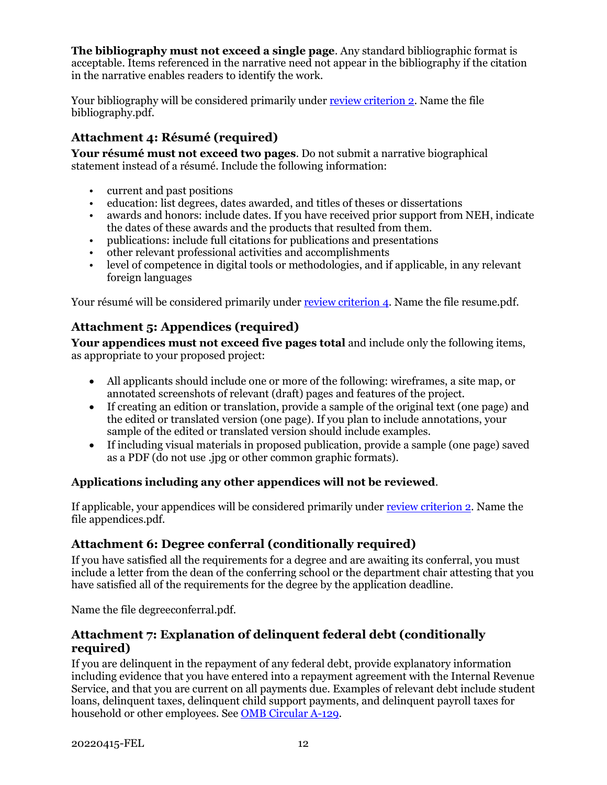**The bibliography must not exceed a single page**. Any standard bibliographic format is acceptable. Items referenced in the narrative need not appear in the bibliography if the citation in the narrative enables readers to identify the work.

Your bibliography will be considered primarily under [review criterion 2.](#page-18-1) Name the file bibliography.pdf.

### <span id="page-14-1"></span>**Attachment 4: Résumé (required)**

**Your résumé must not exceed two pages**. Do not submit a narrative biographical statement instead of a résumé. Include the following information:

- current and past positions
- education: list degrees, dates awarded, and titles of theses or dissertations
- awards and honors: include dates. If you have received prior support from NEH, indicate the dates of these awards and the products that resulted from them.
- publications: include full citations for publications and presentations
- other relevant professional activities and accomplishments
- level of competence in digital tools or methodologies, and if applicable, in any relevant foreign languages

<span id="page-14-2"></span>Your résumé will be considered primarily under [review criterion 4.](#page-18-1) Name the file resume.pdf.

#### **Attachment 5: Appendices (required)**

**Your appendices must not exceed five pages total** and include only the following items, as appropriate to your proposed project:

- All applicants should include one or more of the following: wireframes, a site map, or annotated screenshots of relevant (draft) pages and features of the project.
- If creating an edition or translation, provide a sample of the original text (one page) and the edited or translated version (one page). If you plan to include annotations, your sample of the edited or translated version should include examples.
- If including visual materials in proposed publication, provide a sample (one page) saved as a PDF (do not use .jpg or other common graphic formats).

#### **Applications including any other appendices will not be reviewed**.

If applicable, your appendices will be considered primarily under [review criterion 2.](#page-18-1) Name the file appendices.pdf.

#### <span id="page-14-0"></span>**Attachment 6: Degree conferral (conditionally required)**

If you have satisfied all the requirements for a degree and are awaiting its conferral, you must include a letter from the dean of the conferring school or the department chair attesting that you have satisfied all of the requirements for the degree by the application deadline.

<span id="page-14-3"></span>Name the file degreeconferral.pdf.

#### **Attachment 7: Explanation of delinquent federal debt (conditionally required)**

If you are delinquent in the repayment of any federal debt, provide explanatory information including evidence that you have entered into a repayment agreement with the Internal Revenue Service, and that you are current on all payments due. Examples of relevant debt include student loans, delinquent taxes, delinquent child support payments, and delinquent payroll taxes for household or other employees. See OMB [Circular A-129.](https://www.whitehouse.gov/sites/whitehouse.gov/files/omb/circulars/A129/a-129.pdf)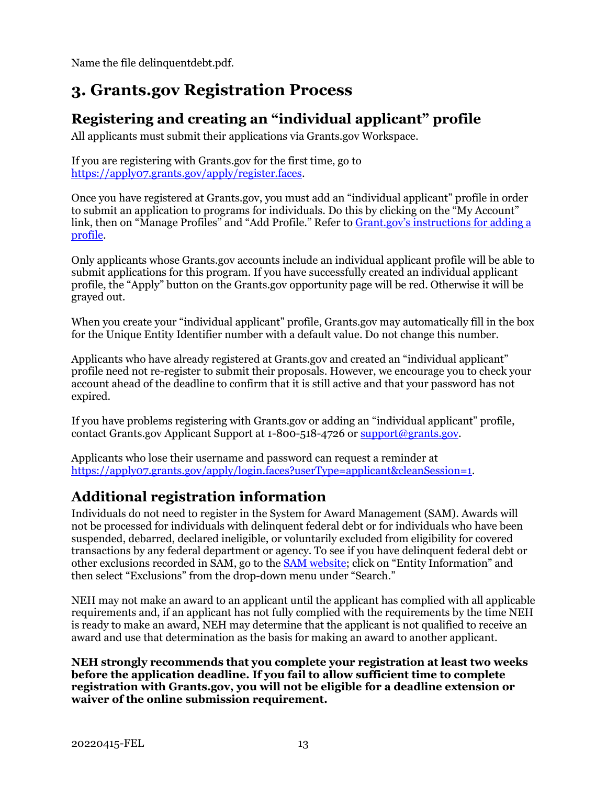Name the file delinquentdebt.pdf.

## **3. Grants.gov Registration Process**

### <span id="page-15-0"></span>**Registering and creating an "individual applicant" profile**

All applicants must submit their applications via Grants.gov Workspace.

If you are registering with Grants.gov for the first time, go to [https://apply07.grants.gov/apply/register.faces.](https://apply07.grants.gov/apply/register.faces)

Once you have registered at Grants.gov, you must add an "individual applicant" profile in order to submit an application to programs for individuals. Do this by clicking on the "My Account" link, then on "Manage Profiles" and "Add Profile." Refer to [Grant.gov's instructions for adding a](https://www.grants.gov/help/html/help/index.htm?callingApp=custom#t=Register%2FAddProfile.htm)  [profile.](https://www.grants.gov/help/html/help/index.htm?callingApp=custom#t=Register%2FAddProfile.htm)

Only applicants whose Grants.gov accounts include an individual applicant profile will be able to submit applications for this program. If you have successfully created an individual applicant profile, the "Apply" button on the Grants.gov opportunity page will be red. Otherwise it will be grayed out.

When you create your "individual applicant" profile, Grants.gov may automatically fill in the box for the Unique Entity Identifier number with a default value. Do not change this number.

Applicants who have already registered at Grants.gov and created an "individual applicant" profile need not re-register to submit their proposals. However, we encourage you to check your account ahead of the deadline to confirm that it is still active and that your password has not expired.

If you have problems registering with Grants.gov or adding an "individual applicant" profile, contact Grants.gov Applicant Support at 1-800-518-4726 o[r support@grants.gov.](mailto:support@grants.gov)

Applicants who lose their username and password can request a reminder at [https://apply07.grants.gov/apply/login.faces?userType=applicant&cleanSession=1.](https://apply07.grants.gov/apply/login.faces?userType=applicant&cleanSession=1)

### **Additional registration information**

Individuals do not need to register in the System for Award Management (SAM). Awards will not be processed for individuals with delinquent federal debt or for individuals who have been suspended, debarred, declared ineligible, or voluntarily excluded from eligibility for covered transactions by any federal department or agency. To see if you have delinquent federal debt or other exclusions recorded in SAM, go to the [SAM website;](https://sam.gov/content/home) click on "Entity Information" and then select "Exclusions" from the drop-down menu under "Search."

NEH may not make an award to an applicant until the applicant has complied with all applicable requirements and, if an applicant has not fully complied with the requirements by the time NEH is ready to make an award, NEH may determine that the applicant is not qualified to receive an award and use that determination as the basis for making an award to another applicant.

**NEH strongly recommends that you complete your registration at least two weeks before the application deadline. If you fail to allow sufficient time to complete registration with Grants.gov, you will not be eligible for a deadline extension or waiver of the online submission requirement.**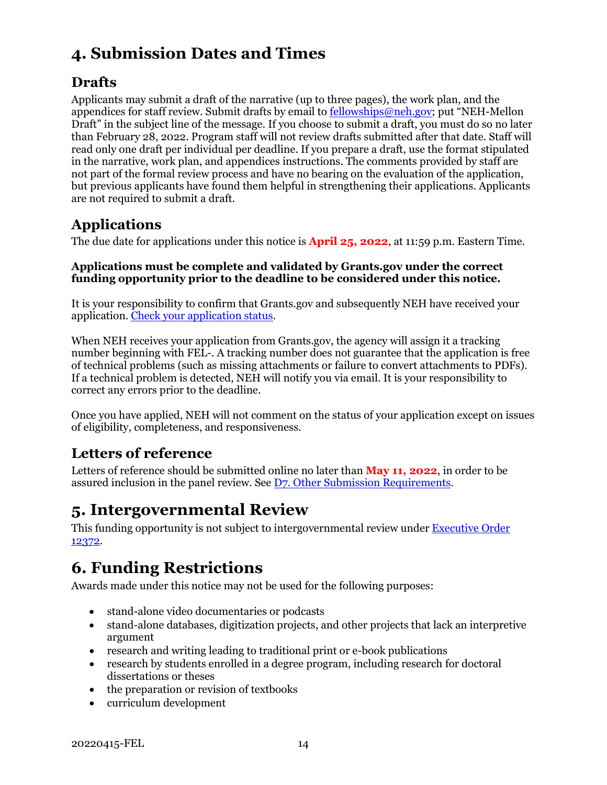## <span id="page-16-0"></span>**4. Submission Dates and Times**

### **Drafts**

Applicants may submit a draft of the narrative (up to three pages), the work plan, and the appendices for staff review. Submit drafts by email t[o fellowships@neh.gov;](mailto:fellowships@neh.gov) put "NEH-Mellon Draft" in the subject line of the message. If you choose to submit a draft, you must do so no later than February 28, 2022. Program staff will not review drafts submitted after that date. Staff will read only one draft per individual per deadline. If you prepare a draft, use the format stipulated in the narrative, work plan, and appendices instructions. The comments provided by staff are not part of the formal review process and have no bearing on the evaluation of the application, but previous applicants have found them helpful in strengthening their applications. Applicants are not required to submit a draft.

## **Applications**

The due date for applications under this notice is **April 25, 2022**, at 11:59 p.m. Eastern Time.

#### **Applications must be complete and validated by Grants.gov under the correct funding opportunity prior to the deadline to be considered under this notice.**

It is your responsibility to confirm that Grants.gov and subsequently NEH have received your application. [Check your application status.](https://www.grants.gov/help/html/help/Applicants/CheckApplicationStatus/CheckApplicationStatus.htm)

When NEH receives your application from Grants.gov, the agency will assign it a tracking number beginning with FEL-. A tracking number does not guarantee that the application is free of technical problems (such as missing attachments or failure to convert attachments to PDFs). If a technical problem is detected, NEH will notify you via email. It is your responsibility to correct any errors prior to the deadline.

Once you have applied, NEH will not comment on the status of your application except on issues of eligibility, completeness, and responsiveness.

### **Letters of reference**

Letters of reference should be submitted online no later than **May 11, 2022**, in order to be assured inclusion in the panel review. See [D7. Other Submission Requirements.](#page-17-0)

## <span id="page-16-1"></span>**5. Intergovernmental Review**

This funding opportunity is not subject to intergovernmental review under **Executive Order** [12372.](https://www.archives.gov/federal-register/codification/executive-order/12372.html)

## <span id="page-16-2"></span>**6. Funding Restrictions**

Awards made under this notice may not be used for the following purposes:

- stand-alone video documentaries or podcasts
- stand-alone databases, digitization projects, and other projects that lack an interpretive argument
- research and writing leading to traditional print or e-book publications
- research by students enrolled in a degree program, including research for doctoral dissertations or theses
- the preparation or revision of textbooks
- curriculum development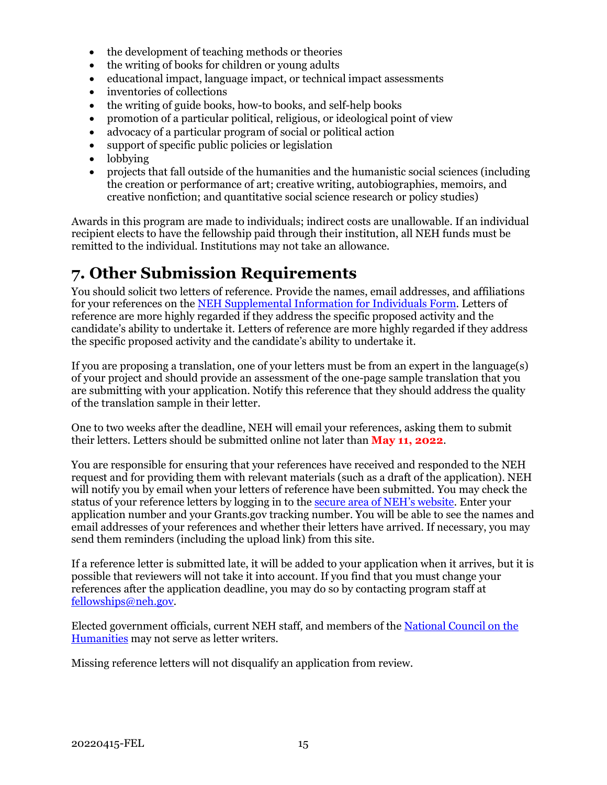- the development of teaching methods or theories
- the writing of books for children or young adults
- educational impact, language impact, or technical impact assessments
- inventories of collections
- the writing of guide books, how-to books, and self-help books
- promotion of a particular political, religious, or ideological point of view
- advocacy of a particular program of social or political action
- support of specific public policies or legislation
- lobbying
- projects that fall outside of the humanities and the humanistic social sciences (including the creation or performance of art; creative writing, autobiographies, memoirs, and creative nonfiction; and quantitative social science research or policy studies)

Awards in this program are made to individuals; indirect costs are unallowable. If an individual recipient elects to have the fellowship paid through their institution, all NEH funds must be remitted to the individual. Institutions may not take an allowance.

## <span id="page-17-0"></span>**7. Other Submission Requirements**

You should solicit two letters of reference. Provide the names, email addresses, and affiliations for your references on the [NEH Supplemental Information for Individuals Form.](#page-10-0) Letters of reference are more highly regarded if they address the specific proposed activity and the candidate's ability to undertake it. Letters of reference are more highly regarded if they address the specific proposed activity and the candidate's ability to undertake it.

If you are proposing a translation, one of your letters must be from an expert in the language(s) of your project and should provide an assessment of the one-page sample translation that you are submitting with your application. Notify this reference that they should address the quality of the translation sample in their letter.

One to two weeks after the deadline, NEH will email your references, asking them to submit their letters. Letters should be submitted online not later than **May 11, 2022**.

You are responsible for ensuring that your references have received and responded to the NEH request and for providing them with relevant materials (such as a draft of the application). NEH will notify you by email when your letters of reference have been submitted. You may check the status of your reference letters by logging in to the [secure area of NEH's website.](https://securegrants.neh.gov/AppStatus/) Enter your application number and your Grants.gov tracking number. You will be able to see the names and email addresses of your references and whether their letters have arrived. If necessary, you may send them reminders (including the upload link) from this site.

If a reference letter is submitted late, it will be added to your application when it arrives, but it is possible that reviewers will not take it into account. If you find that you must change your references after the application deadline, you may do so by contacting program staff at [fellowships@neh.gov.](mailto:fellowships@neh.gov)

Elected government officials, current NEH staff, and members of the [National Council on the](https://www.neh.gov/about/national-council-on-the-humanities)  [Humanities](https://www.neh.gov/about/national-council-on-the-humanities) may not serve as letter writers.

Missing reference letters will not disqualify an application from review.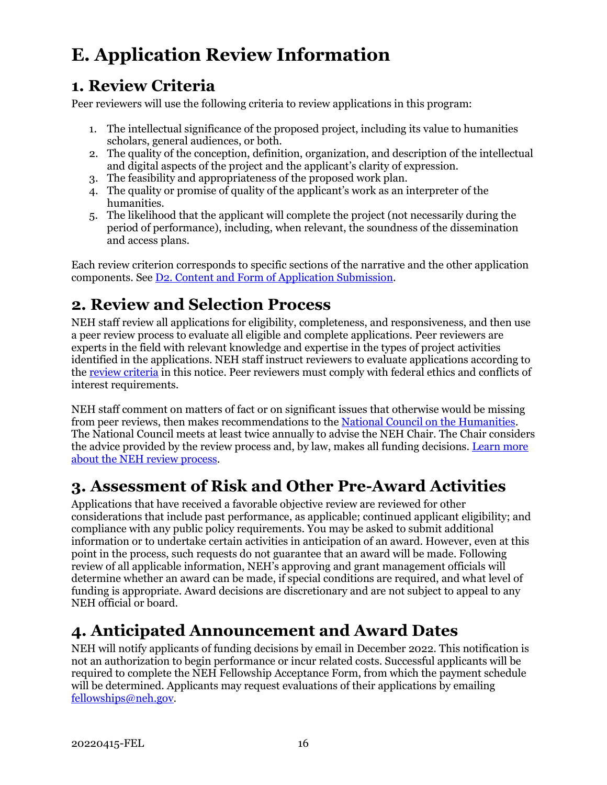# <span id="page-18-0"></span>**E. Application Review Information**

## <span id="page-18-1"></span>**1. Review Criteria**

Peer reviewers will use the following criteria to review applications in this program:

- 1. The intellectual significance of the proposed project, including its value to humanities scholars, general audiences, or both.
- 2. The quality of the conception, definition, organization, and description of the intellectual and digital aspects of the project and the applicant's clarity of expression.
- 3. The feasibility and appropriateness of the proposed work plan.
- 4. The quality or promise of quality of the applicant's work as an interpreter of the humanities.
- 5. The likelihood that the applicant will complete the project (not necessarily during the period of performance), including, when relevant, the soundness of the dissemination and access plans.

Each review criterion corresponds to specific sections of the narrative and the other application components. See [D2. Content and Form of Application Submission.](#page-7-2)

## <span id="page-18-2"></span>**2. Review and Selection Process**

NEH staff review all applications for eligibility, completeness, and responsiveness, and then use a peer review process to evaluate all eligible and complete applications. Peer reviewers are experts in the field with relevant knowledge and expertise in the types of project activities identified in the applications. NEH staff instruct reviewers to evaluate applications according to the [review criteria](#page-18-1) in this notice. Peer reviewers must comply with federal ethics and conflicts of interest requirements.

NEH staff comment on matters of fact or on significant issues that otherwise would be missing from peer reviews, then makes recommendations to th[e National Council on the Humanities.](https://www.neh.gov/about/national-council-on-the-humanities) The National Council meets at least twice annually to advise the NEH Chair. The Chair considers the advice provided by the review process and, by law, makes all funding decisions. [Learn more](https://www.neh.gov/grants/application-process)  [about the NEH review process.](https://www.neh.gov/grants/application-process)

## <span id="page-18-3"></span>**3. Assessment of Risk and Other Pre-Award Activities**

Applications that have received a favorable objective review are reviewed for other considerations that include past performance, as applicable; continued applicant eligibility; and compliance with any public policy requirements. You may be asked to submit additional information or to undertake certain activities in anticipation of an award. However, even at this point in the process, such requests do not guarantee that an award will be made. Following review of all applicable information, NEH's approving and grant management officials will determine whether an award can be made, if special conditions are required, and what level of funding is appropriate. Award decisions are discretionary and are not subject to appeal to any NEH official or board.

## <span id="page-18-4"></span>**4. Anticipated Announcement and Award Dates**

NEH will notify applicants of funding decisions by email in December 2022. This notification is not an authorization to begin performance or incur related costs. Successful applicants will be required to complete the NEH Fellowship Acceptance Form, from which the payment schedule will be determined. Applicants may request evaluations of their applications by emailing [fellowships@neh.gov.](mailto:fellowships@neh.gov)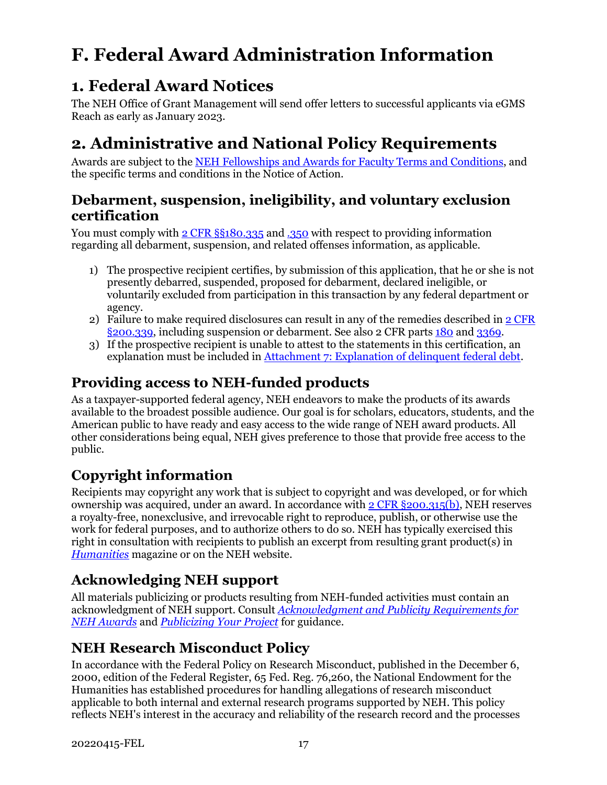# <span id="page-19-0"></span>**F. Federal Award Administration Information**

## <span id="page-19-1"></span>**1. Federal Award Notices**

The NEH Office of Grant Management will send offer letters to successful applicants via eGMS Reach as early as January 2023.

## <span id="page-19-2"></span>**2. Administrative and National Policy Requirements**

Awards are subject to the [NEH Fellowships and Awards for Faculty Terms and Conditions,](https://www.neh.gov/grants/manage/neh-fellowships-terms-and-conditions) and the specific terms and conditions in the Notice of Action.

### **Debarment, suspension, ineligibility, and voluntary exclusion certification**

You must comply with [2 CFR §§180.335](https://www.ecfr.gov/cgi-bin/text-idx?node=2:1.1.1.2.9.3.3.8&rgn=div8) an[d .350](https://www.ecfr.gov/cgi-bin/text-idx?SID=8484a1410effbe760bcb6b134d9c035a&mc=true&node=pt2.1.180&rgn=div5#se2.1.180_1350) with respect to providing information regarding all debarment, suspension, and related offenses information, as applicable.

- 1) The prospective recipient certifies, by submission of this application, that he or she is not presently debarred, suspended, proposed for debarment, declared ineligible, or voluntarily excluded from participation in this transaction by any federal department or agency.
- 2) Failure to make required disclosures can result in any of the remedies described in [2 CFR](https://www.ecfr.gov/cgi-bin/text-idx?SID=2262ad9c20e9d3a49f2c569c773c8aa1&mc=true&node=pt2.1.200&rgn=div5#se2.1.200_1339)  [§200.339,](https://www.ecfr.gov/cgi-bin/text-idx?SID=2262ad9c20e9d3a49f2c569c773c8aa1&mc=true&node=pt2.1.200&rgn=div5#se2.1.200_1339) including suspension or debarment. See also 2 CFR parts [180](https://www.ecfr.gov/cgi-bin/text-idx?tpl=/ecfrbrowse/Title02/2cfr180_main_02.tpl) and [3369.](https://www.ecfr.gov/cgi-bin/text-idx?SID=902a748402bef7d8543f27adaf553773&mc=true&node=pt2.1.3369&rgn=div5)
- 3) If the prospective recipient is unable to attest to the statements in this certification, an explanation must be included in [Attachment 7: Explanation of delinquent federal debt.](#page-14-3)

### **Providing access to NEH-funded products**

As a taxpayer-supported federal agency, NEH endeavors to make the products of its awards available to the broadest possible audience. Our goal is for scholars, educators, students, and the American public to have ready and easy access to the wide range of NEH award products. All other considerations being equal, NEH gives preference to those that provide free access to the public.

### **Copyright information**

Recipients may copyright any work that is subject to copyright and was developed, or for which ownership was acquired, under an award. In accordance wit[h 2 CFR §200.315\(b\),](https://www.ecfr.gov/cgi-bin/text-idx?SID=245f872e0bd31305c176712cd2b8b767&mc=true&node=se2.1.200_1315&rgn=div8) NEH reserves a royalty-free, nonexclusive, and irrevocable right to reproduce, publish, or otherwise use the work for federal purposes, and to authorize others to do so. NEH has typically exercised this right in consultation with recipients to publish an excerpt from resulting grant product(s) in *[Humanities](https://www.neh.gov/humanities)* magazine or on the NEH website.

## **Acknowledging NEH support**

All materials publicizing or products resulting from NEH-funded activities must contain an acknowledgment of NEH support. Consult *[Acknowledgment and Publicity Requirements for](https://www.neh.gov/grants/manage/acknowledgment-and-publicity-requirements-neh-awards)  [NEH Awards](https://www.neh.gov/grants/manage/acknowledgment-and-publicity-requirements-neh-awards)* and *[Publicizing Your Project](https://www.neh.gov/grants/manage/publicizing-your-project)* for guidance.

## **NEH Research Misconduct Policy**

In accordance with the Federal Policy on Research Misconduct, published in the December 6, 2000, edition of the Federal Register, 65 Fed. Reg. 76,260, the National Endowment for the Humanities has established procedures for handling allegations of research misconduct applicable to both internal and external research programs supported by NEH. This policy reflects NEH's interest in the accuracy and reliability of the research record and the processes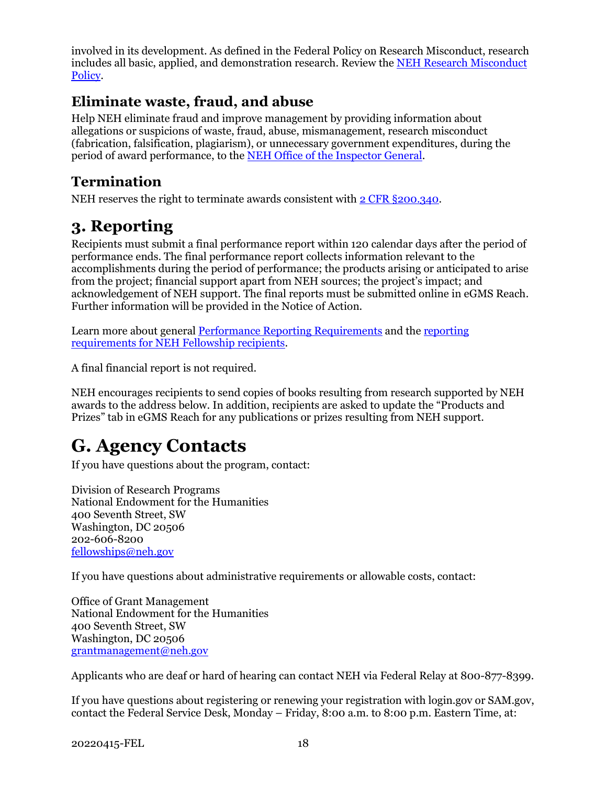involved in its development. As defined in the Federal Policy on Research Misconduct, research includes all basic, applied, and demonstration research. Review the [NEH Research Misconduct](http://www.neh.gov/grants/manage/research-misconduct-policy)  [Policy.](http://www.neh.gov/grants/manage/research-misconduct-policy)

### **Eliminate waste, fraud, and abuse**

Help NEH eliminate fraud and improve management by providing information about allegations or suspicions of waste, fraud, abuse, mismanagement, research misconduct (fabrication, falsification, plagiarism), or unnecessary government expenditures, during the period of award performance, to the [NEH Office of the Inspector General.](https://www.neh.gov/about/oig)

### **Termination**

NEH reserves the right to terminate awards consistent wit[h 2 CFR §200.340.](https://www.ecfr.gov/cgi-bin/text-idx?SID=4eaffe984905bd3954347ba4972872ee&mc=true&node=pt2.1.200&rgn=div5#se2.1.200_1340)

## <span id="page-20-0"></span>**3. Reporting**

Recipients must submit a final performance report within 120 calendar days after the period of performance ends. The final performance report collects information relevant to the accomplishments during the period of performance; the products arising or anticipated to arise from the project; financial support apart from NEH sources; the project's impact; and acknowledgement of NEH support. The final reports must be submitted online in eGMS Reach. Further information will be provided in the Notice of Action.

Learn more about general [Performance Reporting Requirements](https://www.neh.gov/grants/manage/performance-reporting-requirements) and the [reporting](https://www.neh.gov/grants/manage/instructions-submitting-the-final-performance-report-neh-fellowships-faculty-research)  [requirements for NEH Fellowship recipients.](https://www.neh.gov/grants/manage/instructions-submitting-the-final-performance-report-neh-fellowships-faculty-research)

A final financial report is not required.

NEH encourages recipients to send copies of books resulting from research supported by NEH awards to the address below. In addition, recipients are asked to update the "Products and Prizes" tab in eGMS Reach for any publications or prizes resulting from NEH support.

# <span id="page-20-1"></span>**G. Agency Contacts**

If you have questions about the program, contact:

Division of Research Programs National Endowment for the Humanities 400 Seventh Street, SW Washington, DC 20506 202-606-8200 [fellowships@neh.gov](mailto:fellowships@neh.gov)

If you have questions about administrative requirements or allowable costs, contact:

Office of Grant Management National Endowment for the Humanities 400 Seventh Street, SW Washington, DC 20506 [grantmanagement@neh.gov](mailto:grantmanagement@neh.gov)

Applicants who are deaf or hard of hearing can contact NEH via Federal Relay at 800-877-8399.

If you have questions about registering or renewing your registration with login.gov or SAM.gov, contact the Federal Service Desk, Monday – Friday, 8:00 a.m. to 8:00 p.m. Eastern Time, at: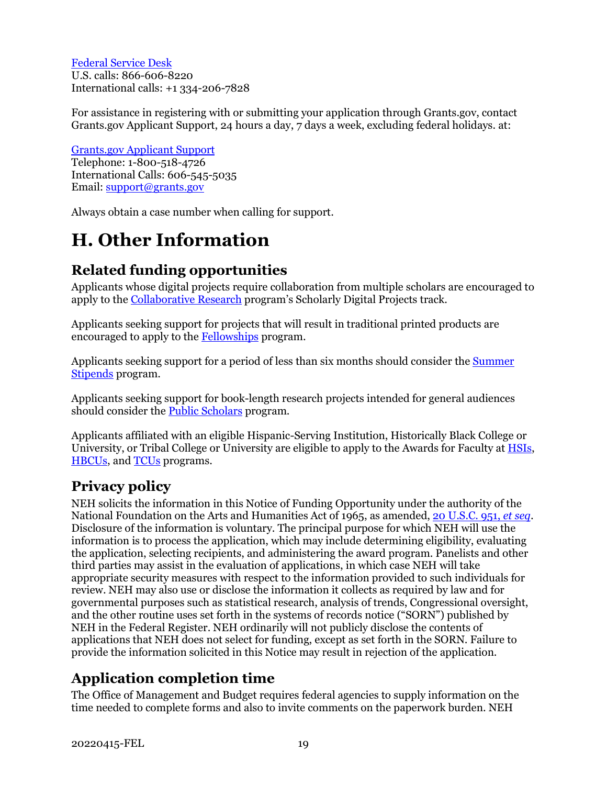[Federal Service Desk](https://www.fsd.gov/fsd-gov/home.do) U.S. calls: 866-606-8220 International calls: +1 334-206-7828

For assistance in registering with or submitting your application through Grants.gov, contact Grants.gov Applicant Support, 24 hours a day, 7 days a week, excluding federal holidays. at:

[Grants.gov Applicant Support](https://www.grants.gov/web/grants/support.html) Telephone: 1-800-518-4726 International Calls: 606-545-5035 Email: [support@grants.gov](mailto:support@grants.gov)

Always obtain a case number when calling for support.

# <span id="page-21-0"></span>**H. Other Information**

## **Related funding opportunities**

Applicants whose digital projects require collaboration from multiple scholars are encouraged to apply to the [Collaborative Research](https://www.neh.gov/grants/research/collaborative-research-grants) program's Scholarly Digital Projects track.

Applicants seeking support for projects that will result in traditional printed products are encouraged to apply to the [Fellowships](https://www.neh.gov/grants/research/fellowships) program.

Applicants seeking support for a period of less than six months should consider the [Summer](https://www.neh.gov/grants/research/summer-stipends) [Stipends](https://www.neh.gov/grants/research/summer-stipends) program.

Applicants seeking support for book-length research projects intended for general audiences should consider the [Public Scholars](https://www.neh.gov/grants/research/public-scholar-program) program.

Applicants affiliated with an eligible Hispanic-Serving Institution, Historically Black College or University, or Tribal College or University are eligible to apply to the Awards for Faculty at [HSIs,](https://www.neh.gov/grants/research/awards-faculty-hispanic-serving-institutions) [HBCUs,](https://www.neh.gov/grants/research/awards-faculty-historically-black-colleges-and-universities) and [TCUs](https://www.neh.gov/grants/research/awards-faculty-tribal-colleges-and-universities) programs.

### **Privacy policy**

NEH solicits the information in this Notice of Funding Opportunity under the authority of the National Foundation on the Arts and Humanities Act of 1965, as amended[, 20 U.S.C. 951,](https://uscode.house.gov/view.xhtml?hl=false&edition=prelim&req=granuleid%3AUSC-prelim-title20-section951&num=0&saved=%7CKHRpdGxlOjIwIHNlY3Rpb246OTU2YSBlZGl0aW9uOnByZWxpbSk%3D%7C%7C%7C0%7Cfalse%7Cprelim) *et seq*. Disclosure of the information is voluntary. The principal purpose for which NEH will use the information is to process the application, which may include determining eligibility, evaluating the application, selecting recipients, and administering the award program. Panelists and other third parties may assist in the evaluation of applications, in which case NEH will take appropriate security measures with respect to the information provided to such individuals for review. NEH may also use or disclose the information it collects as required by law and for governmental purposes such as statistical research, analysis of trends, Congressional oversight, and the other routine uses set forth in the systems of records notice ("SORN") published by NEH in the Federal Register. NEH ordinarily will not publicly disclose the contents of applications that NEH does not select for funding, except as set forth in the SORN. Failure to provide the information solicited in this Notice may result in rejection of the application.

## **Application completion time**

The Office of Management and Budget requires federal agencies to supply information on the time needed to complete forms and also to invite comments on the paperwork burden. NEH